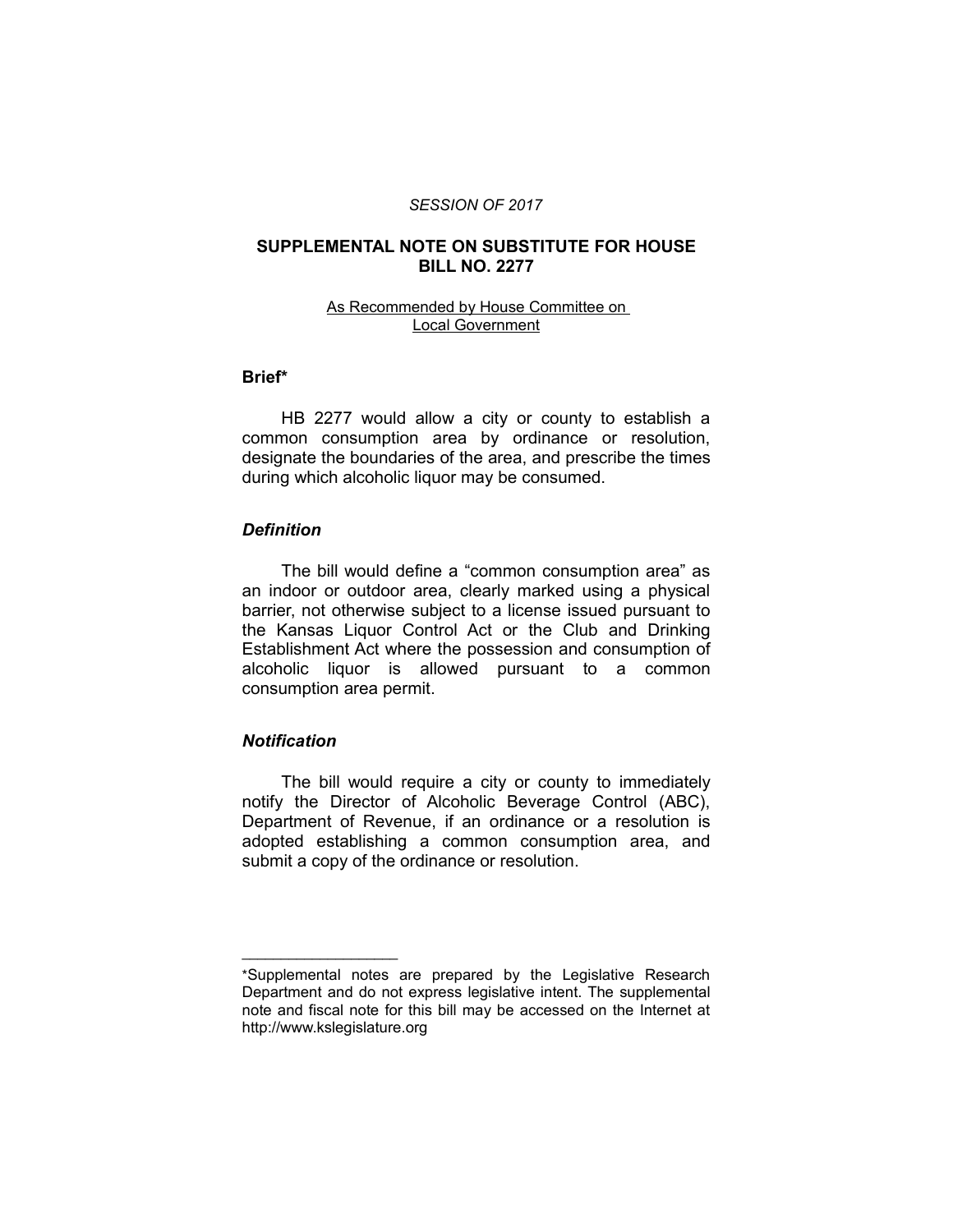#### *SESSION OF 2017*

### **SUPPLEMENTAL NOTE ON SUBSTITUTE FOR HOUSE BILL NO. 2277**

### As Recommended by House Committee on Local Government

# **Brief\***

HB 2277 would allow a city or county to establish a common consumption area by ordinance or resolution, designate the boundaries of the area, and prescribe the times during which alcoholic liquor may be consumed.

### *Definition*

The bill would define a "common consumption area" as an indoor or outdoor area, clearly marked using a physical barrier, not otherwise subject to a license issued pursuant to the Kansas Liquor Control Act or the Club and Drinking Establishment Act where the possession and consumption of alcoholic liquor is allowed pursuant to a common consumption area permit.

### *Notification*

 $\overline{\phantom{a}}$  , where  $\overline{\phantom{a}}$  , where  $\overline{\phantom{a}}$ 

The bill would require a city or county to immediately notify the Director of Alcoholic Beverage Control (ABC), Department of Revenue, if an ordinance or a resolution is adopted establishing a common consumption area, and submit a copy of the ordinance or resolution.

<sup>\*</sup>Supplemental notes are prepared by the Legislative Research Department and do not express legislative intent. The supplemental note and fiscal note for this bill may be accessed on the Internet at http://www.kslegislature.org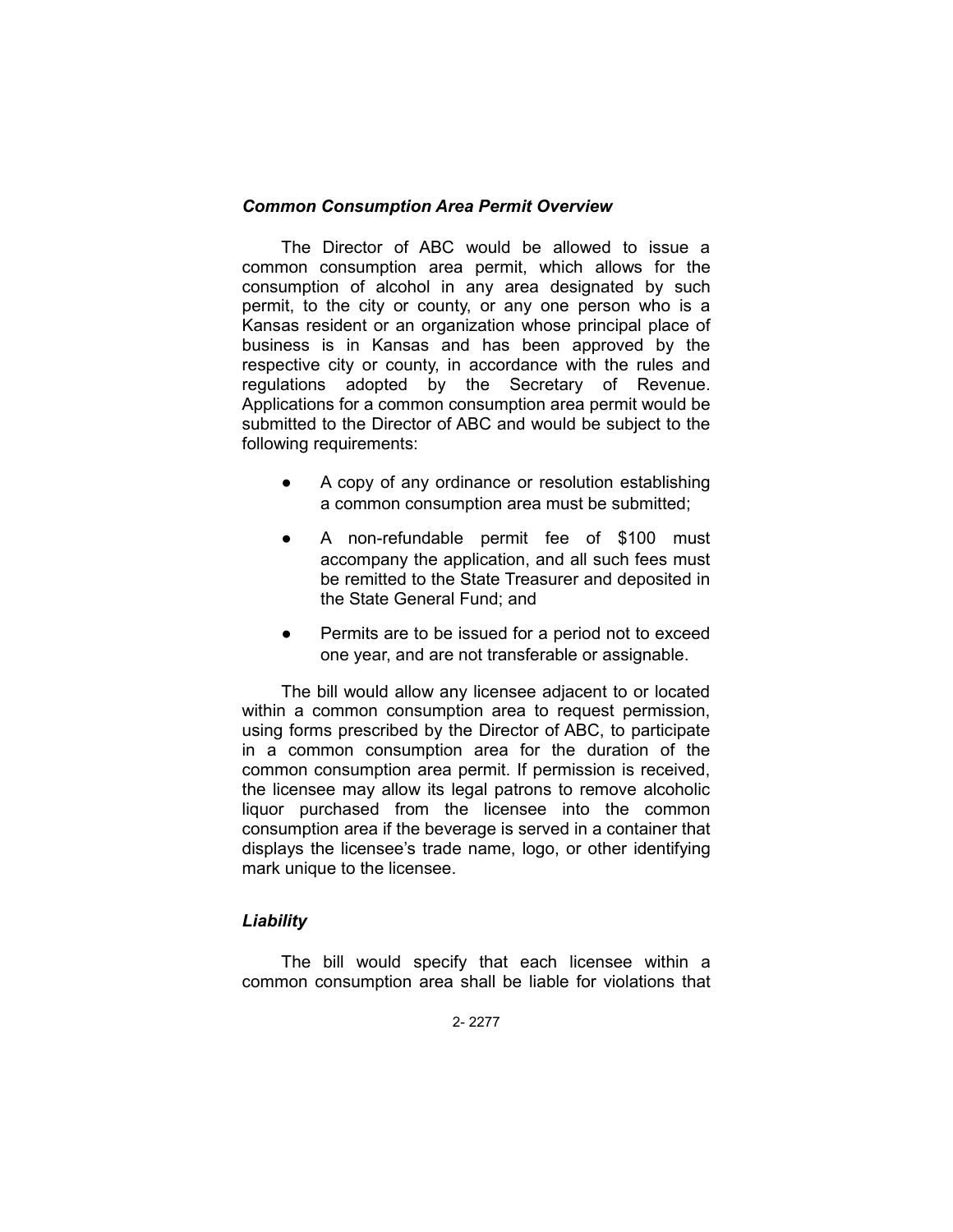# *Common Consumption Area Permit Overview*

The Director of ABC would be allowed to issue a common consumption area permit, which allows for the consumption of alcohol in any area designated by such permit, to the city or county, or any one person who is a Kansas resident or an organization whose principal place of business is in Kansas and has been approved by the respective city or county, in accordance with the rules and regulations adopted by the Secretary of Revenue. Applications for a common consumption area permit would be submitted to the Director of ABC and would be subject to the following requirements:

- A copy of any ordinance or resolution establishing a common consumption area must be submitted;
- A non-refundable permit fee of \$100 must accompany the application, and all such fees must be remitted to the State Treasurer and deposited in the State General Fund; and
- Permits are to be issued for a period not to exceed one year, and are not transferable or assignable.

The bill would allow any licensee adjacent to or located within a common consumption area to request permission, using forms prescribed by the Director of ABC, to participate in a common consumption area for the duration of the common consumption area permit. If permission is received, the licensee may allow its legal patrons to remove alcoholic liquor purchased from the licensee into the common consumption area if the beverage is served in a container that displays the licensee's trade name, logo, or other identifying mark unique to the licensee.

# *Liability*

The bill would specify that each licensee within a common consumption area shall be liable for violations that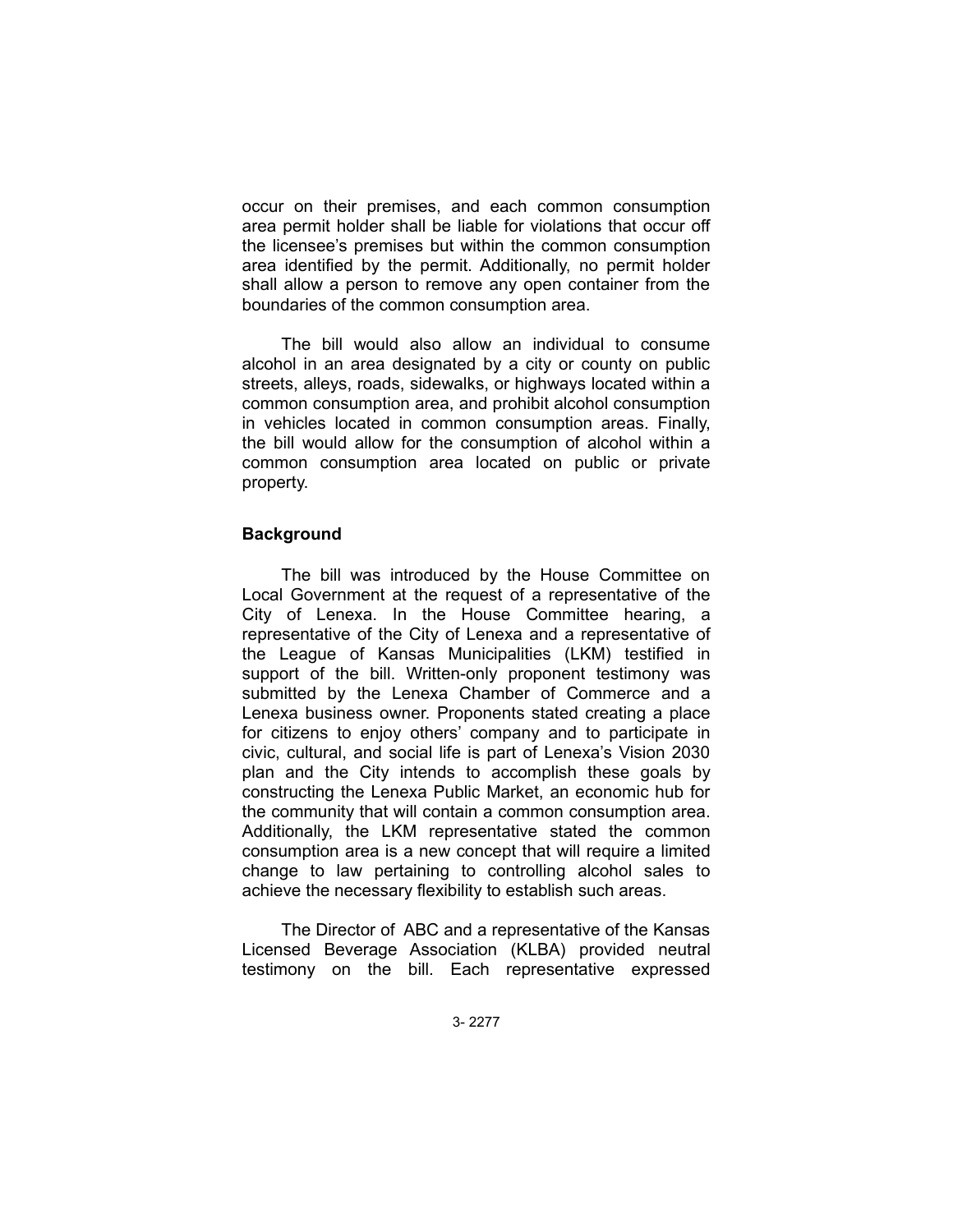occur on their premises, and each common consumption area permit holder shall be liable for violations that occur off the licensee's premises but within the common consumption area identified by the permit. Additionally, no permit holder shall allow a person to remove any open container from the boundaries of the common consumption area.

The bill would also allow an individual to consume alcohol in an area designated by a city or county on public streets, alleys, roads, sidewalks, or highways located within a common consumption area, and prohibit alcohol consumption in vehicles located in common consumption areas. Finally, the bill would allow for the consumption of alcohol within a common consumption area located on public or private property.

# **Background**

The bill was introduced by the House Committee on Local Government at the request of a representative of the City of Lenexa. In the House Committee hearing, a representative of the City of Lenexa and a representative of the League of Kansas Municipalities (LKM) testified in support of the bill. Written-only proponent testimony was submitted by the Lenexa Chamber of Commerce and a Lenexa business owner. Proponents stated creating a place for citizens to enjoy others' company and to participate in civic, cultural, and social life is part of Lenexa's Vision 2030 plan and the City intends to accomplish these goals by constructing the Lenexa Public Market, an economic hub for the community that will contain a common consumption area. Additionally, the LKM representative stated the common consumption area is a new concept that will require a limited change to law pertaining to controlling alcohol sales to achieve the necessary flexibility to establish such areas.

The Director of ABC and a representative of the Kansas Licensed Beverage Association (KLBA) provided neutral testimony on the bill. Each representative expressed